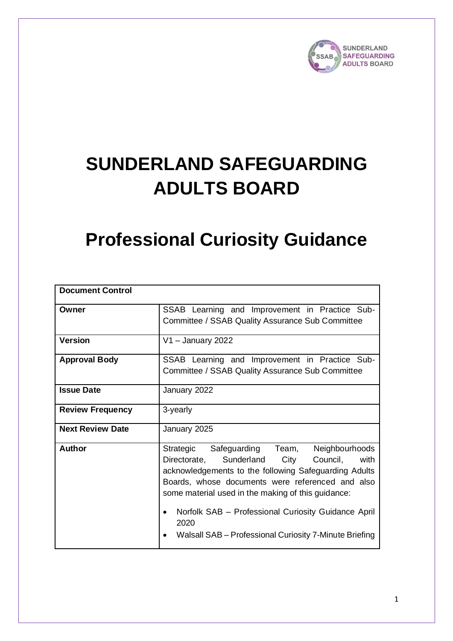

# **SUNDERLAND SAFEGUARDING ADULTS BOARD**

## **Professional Curiosity Guidance**

| <b>Document Control</b> |                                                                                                                                                                                                                                                                                                                                                                                                                |
|-------------------------|----------------------------------------------------------------------------------------------------------------------------------------------------------------------------------------------------------------------------------------------------------------------------------------------------------------------------------------------------------------------------------------------------------------|
| Owner                   | SSAB Learning and Improvement in Practice Sub-<br>Committee / SSAB Quality Assurance Sub Committee                                                                                                                                                                                                                                                                                                             |
| <b>Version</b>          | $V1 -$ January 2022                                                                                                                                                                                                                                                                                                                                                                                            |
| <b>Approval Body</b>    | SSAB Learning and Improvement in Practice Sub-<br>Committee / SSAB Quality Assurance Sub Committee                                                                                                                                                                                                                                                                                                             |
| <b>Issue Date</b>       | January 2022                                                                                                                                                                                                                                                                                                                                                                                                   |
| <b>Review Frequency</b> | 3-yearly                                                                                                                                                                                                                                                                                                                                                                                                       |
| <b>Next Review Date</b> | January 2025                                                                                                                                                                                                                                                                                                                                                                                                   |
| <b>Author</b>           | Strategic Safeguarding Team,<br>Neighbourhoods<br>Directorate, Sunderland<br>City<br>Council,<br>with<br>acknowledgements to the following Safeguarding Adults<br>Boards, whose documents were referenced and also<br>some material used in the making of this guidance:<br>Norfolk SAB - Professional Curiosity Guidance April<br>$\bullet$<br>2020<br>Walsall SAB - Professional Curiosity 7-Minute Briefing |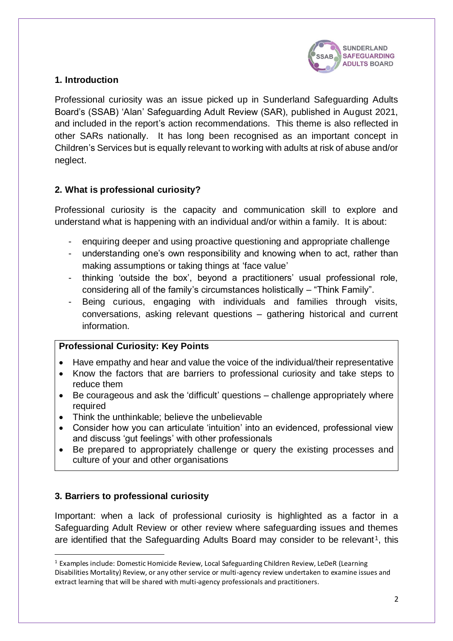

## **1. Introduction**

Professional curiosity was an issue picked up in Sunderland Safeguarding Adults Board's (SSAB) 'Alan' Safeguarding Adult Review (SAR), published in August 2021, and included in the report's action recommendations. This theme is also reflected in other SARs nationally. It has long been recognised as an important concept in Children's Services but is equally relevant to working with adults at risk of abuse and/or neglect.

## **2. What is professional curiosity?**

Professional curiosity is the capacity and communication skill to explore and understand what is happening with an individual and/or within a family. It is about:

- enquiring deeper and using proactive questioning and appropriate challenge
- understanding one's own responsibility and knowing when to act, rather than making assumptions or taking things at 'face value'
- thinking 'outside the box', beyond a practitioners' usual professional role, considering all of the family's circumstances holistically – "Think Family".
- Being curious, engaging with individuals and families through visits, conversations, asking relevant questions – gathering historical and current information.

#### **Professional Curiosity: Key Points**

- Have empathy and hear and value the voice of the individual/their representative
- Know the factors that are barriers to professional curiosity and take steps to reduce them
- Be courageous and ask the 'difficult' questions challenge appropriately where required
- Think the unthinkable; believe the unbelievable
- Consider how you can articulate 'intuition' into an evidenced, professional view and discuss 'gut feelings' with other professionals
- Be prepared to appropriately challenge or query the existing processes and culture of your and other organisations

## **3. Barriers to professional curiosity**

Important: when a lack of professional curiosity is highlighted as a factor in a Safeguarding Adult Review or other review where safeguarding issues and themes are identified that the Safeguarding Adults Board may consider to be relevant<sup>1</sup>, this

<sup>1</sup> Examples include: Domestic Homicide Review, Local Safeguarding Children Review, LeDeR (Learning Disabilities Mortality) Review, or any other service or multi-agency review undertaken to examine issues and extract learning that will be shared with multi-agency professionals and practitioners.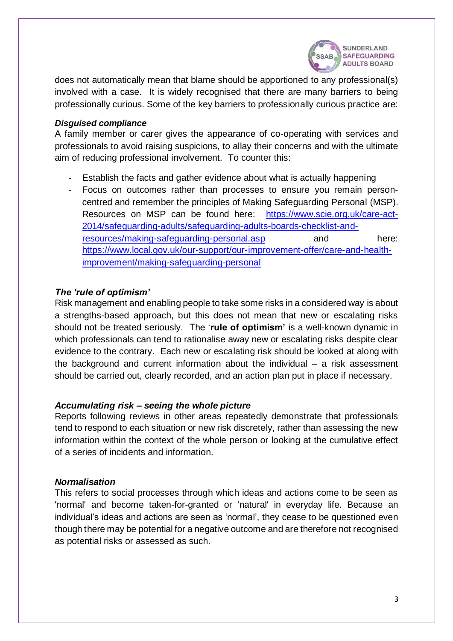

does not automatically mean that blame should be apportioned to any professional(s) involved with a case. It is widely recognised that there are many barriers to being professionally curious. Some of the key barriers to professionally curious practice are:

#### *Disguised compliance*

A family member or carer gives the appearance of co-operating with services and professionals to avoid raising suspicions, to allay their concerns and with the ultimate aim of reducing professional involvement. To counter this:

- Establish the facts and gather evidence about what is actually happening
- Focus on outcomes rather than processes to ensure you remain personcentred and remember the principles of Making Safeguarding Personal (MSP). Resources on MSP can be found here: [https://www.scie.org.uk/care-act-](https://www.scie.org.uk/care-act-2014/safeguarding-adults/safeguarding-adults-boards-checklist-and-resources/making-safeguarding-personal.asp)[2014/safeguarding-adults/safeguarding-adults-boards-checklist-and](https://www.scie.org.uk/care-act-2014/safeguarding-adults/safeguarding-adults-boards-checklist-and-resources/making-safeguarding-personal.asp)[resources/making-safeguarding-personal.asp](https://www.scie.org.uk/care-act-2014/safeguarding-adults/safeguarding-adults-boards-checklist-and-resources/making-safeguarding-personal.asp) and here: [https://www.local.gov.uk/our-support/our-improvement-offer/care-and-health](https://www.local.gov.uk/our-support/our-improvement-offer/care-and-health-improvement/making-safeguarding-personal)[improvement/making-safeguarding-personal](https://www.local.gov.uk/our-support/our-improvement-offer/care-and-health-improvement/making-safeguarding-personal)

## *The 'rule of optimism'*

Risk management and enabling people to take some risks in a considered way is about a strengths-based approach, but this does not mean that new or escalating risks should not be treated seriously. The '**rule of optimism'** is a well-known dynamic in which professionals can tend to rationalise away new or escalating risks despite clear evidence to the contrary. Each new or escalating risk should be looked at along with the background and current information about the individual  $-$  a risk assessment should be carried out, clearly recorded, and an action plan put in place if necessary.

#### *Accumulating risk – seeing the whole picture*

Reports following reviews in other areas repeatedly demonstrate that professionals tend to respond to each situation or new risk discretely, rather than assessing the new information within the context of the whole person or looking at the cumulative effect of a series of incidents and information.

#### *Normalisation*

This refers to social processes through which ideas and actions come to be seen as 'normal' and become taken-for-granted or 'natural' in everyday life. Because an individual's ideas and actions are seen as 'normal', they cease to be questioned even though there may be potential for a negative outcome and are therefore not recognised as potential risks or assessed as such.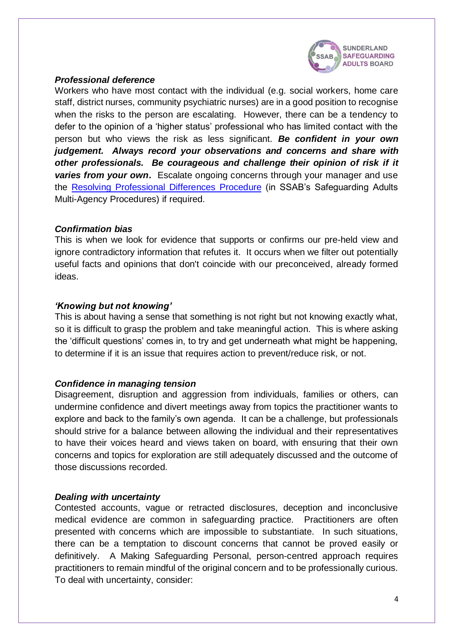

#### *Professional deference*

Workers who have most contact with the individual (e.g. social workers, home care staff, district nurses, community psychiatric nurses) are in a good position to recognise when the risks to the person are escalating. However, there can be a tendency to defer to the opinion of a 'higher status' professional who has limited contact with the person but who views the risk as less significant. *Be confident in your own judgement. Always record your observations and concerns and share with other professionals. Be courageous and challenge their opinion of risk if it*  **varies from your own.** Escalate ongoing concerns through your manager and use the [Resolving Professional Differences](http://sunderlandsab.org.uk/lms/course/view.php?id=35) Procedure (in SSAB's Safeguarding Adults Multi-Agency Procedures) if required.

#### *Confirmation bias*

This is when we look for evidence that supports or confirms our pre-held view and ignore contradictory information that refutes it. It occurs when we filter out potentially useful facts and opinions that don't coincide with our preconceived, already formed ideas.

#### *'Knowing but not knowing'*

This is about having a sense that something is not right but not knowing exactly what, so it is difficult to grasp the problem and take meaningful action. This is where asking the 'difficult questions' comes in, to try and get underneath what might be happening, to determine if it is an issue that requires action to prevent/reduce risk, or not.

#### *Confidence in managing tension*

Disagreement, disruption and aggression from individuals, families or others, can undermine confidence and divert meetings away from topics the practitioner wants to explore and back to the family's own agenda. It can be a challenge, but professionals should strive for a balance between allowing the individual and their representatives to have their voices heard and views taken on board, with ensuring that their own concerns and topics for exploration are still adequately discussed and the outcome of those discussions recorded.

#### *Dealing with uncertainty*

Contested accounts, vague or retracted disclosures, deception and inconclusive medical evidence are common in safeguarding practice. Practitioners are often presented with concerns which are impossible to substantiate. In such situations, there can be a temptation to discount concerns that cannot be proved easily or definitively. A Making Safeguarding Personal, person-centred approach requires practitioners to remain mindful of the original concern and to be professionally curious. To deal with uncertainty, consider: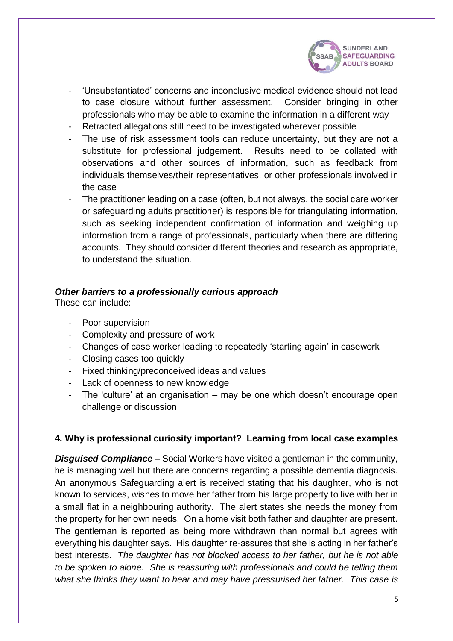

- 'Unsubstantiated' concerns and inconclusive medical evidence should not lead to case closure without further assessment. Consider bringing in other professionals who may be able to examine the information in a different way
- Retracted allegations still need to be investigated wherever possible
- The use of risk assessment tools can reduce uncertainty, but they are not a substitute for professional judgement. Results need to be collated with observations and other sources of information, such as feedback from individuals themselves/their representatives, or other professionals involved in the case
- The practitioner leading on a case (often, but not always, the social care worker or safeguarding adults practitioner) is responsible for triangulating information, such as seeking independent confirmation of information and weighing up information from a range of professionals, particularly when there are differing accounts. They should consider different theories and research as appropriate, to understand the situation.

## *Other barriers to a professionally curious approach*

These can include:

- Poor supervision
- Complexity and pressure of work
- Changes of case worker leading to repeatedly 'starting again' in casework
- Closing cases too quickly
- Fixed thinking/preconceived ideas and values
- Lack of openness to new knowledge
- The 'culture' at an organisation may be one which doesn't encourage open challenge or discussion

## **4. Why is professional curiosity important? Learning from local case examples**

**Disguised Compliance** – Social Workers have visited a gentleman in the community, he is managing well but there are concerns regarding a possible dementia diagnosis. An anonymous Safeguarding alert is received stating that his daughter, who is not known to services, wishes to move her father from his large property to live with her in a small flat in a neighbouring authority. The alert states she needs the money from the property for her own needs. On a home visit both father and daughter are present. The gentleman is reported as being more withdrawn than normal but agrees with everything his daughter says. His daughter re-assures that she is acting in her father's best interests. *The daughter has not blocked access to her father, but he is not able to be spoken to alone. She is reassuring with professionals and could be telling them what she thinks they want to hear and may have pressurised her father. This case is*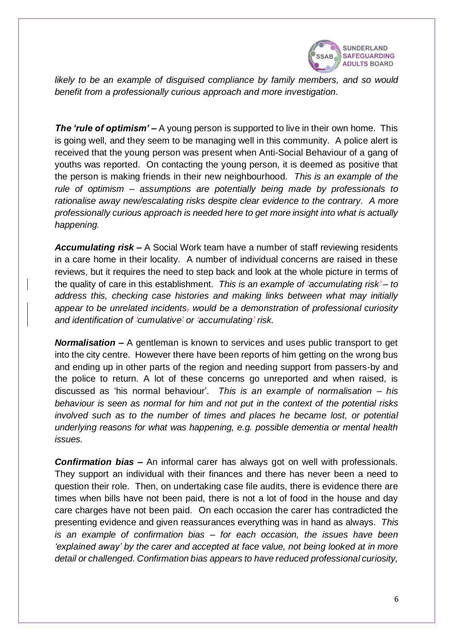

*likely to be an example of disguised compliance by family members, and so would benefit from a professionally curious approach and more investigation.*

*The 'rule of optimism'* – A young person is supported to live in their own home. This is going well, and they seem to be managing well in this community. A police alert is received that the young person was present when Anti-Social Behaviour of a gang of youths was reported. On contacting the young person, it is deemed as positive that the person is making friends in their new neighbourhood. *This is an example of the rule of optimism – assumptions are potentially being made by professionals to rationalise away new/escalating risks despite clear evidence to the contrary. A more professionally curious approach is needed here to get more insight into what is actually happening.*

*Accumulating risk –* A Social Work team have a number of staff reviewing residents in a care home in their locality. A number of individual concerns are raised in these reviews, but it requires the need to step back and look at the whole picture in terms of the quality of care in this establishment. *This is an example of 'accumulating risk' – to address this, checking case histories and making links between what may initially appear to be unrelated incidents, would be a demonstration of professional curiosity and identification of 'cumulative' or 'accumulating' risk.*

*Normalisation –* A gentleman is known to services and uses public transport to get into the city centre. However there have been reports of him getting on the wrong bus and ending up in other parts of the region and needing support from passers-by and the police to return. A lot of these concerns go unreported and when raised, is discussed as 'his normal behaviour'. *This is an example of normalisation – his behaviour is seen as normal for him and not put in the context of the potential risks involved such as to the number of times and places he became lost, or potential underlying reasons for what was happening, e.g. possible dementia or mental health issues.* 

*Confirmation bias –* An informal carer has always got on well with professionals. They support an individual with their finances and there has never been a need to question their role. Then, on undertaking case file audits, there is evidence there are times when bills have not been paid, there is not a lot of food in the house and day care charges have not been paid. On each occasion the carer has contradicted the presenting evidence and given reassurances everything was in hand as always. *This is an example of confirmation bias – for each occasion, the issues have been 'explained away' by the carer and accepted at face value, not being looked at in more detail or challenged*. *Confirmation bias appears to have reduced professional curiosity,*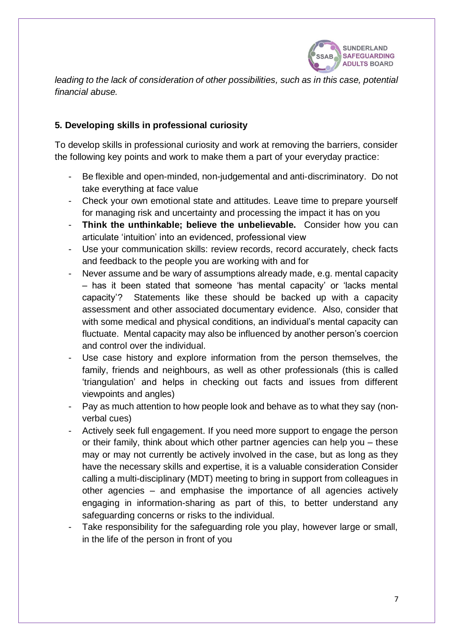

*leading to the lack of consideration of other possibilities, such as in this case, potential financial abuse.*

## **5. Developing skills in professional curiosity**

To develop skills in professional curiosity and work at removing the barriers, consider the following key points and work to make them a part of your everyday practice:

- Be flexible and open-minded, non-judgemental and anti-discriminatory. Do not take everything at face value
- Check your own emotional state and attitudes. Leave time to prepare yourself for managing risk and uncertainty and processing the impact it has on you
- **Think the unthinkable; believe the unbelievable.** Consider how you can articulate 'intuition' into an evidenced, professional view
- Use your communication skills: review records, record accurately, check facts and feedback to the people you are working with and for
- Never assume and be wary of assumptions already made, e.g. mental capacity – has it been stated that someone 'has mental capacity' or 'lacks mental capacity'? Statements like these should be backed up with a capacity assessment and other associated documentary evidence. Also, consider that with some medical and physical conditions, an individual's mental capacity can fluctuate. Mental capacity may also be influenced by another person's coercion and control over the individual.
- Use case history and explore information from the person themselves, the family, friends and neighbours, as well as other professionals (this is called 'triangulation' and helps in checking out facts and issues from different viewpoints and angles)
- Pay as much attention to how people look and behave as to what they say (nonverbal cues)
- Actively seek full engagement. If you need more support to engage the person or their family, think about which other partner agencies can help you – these may or may not currently be actively involved in the case, but as long as they have the necessary skills and expertise, it is a valuable consideration Consider calling a multi-disciplinary (MDT) meeting to bring in support from colleagues in other agencies – and emphasise the importance of all agencies actively engaging in information-sharing as part of this, to better understand any safeguarding concerns or risks to the individual.
- Take responsibility for the safeguarding role you play, however large or small, in the life of the person in front of you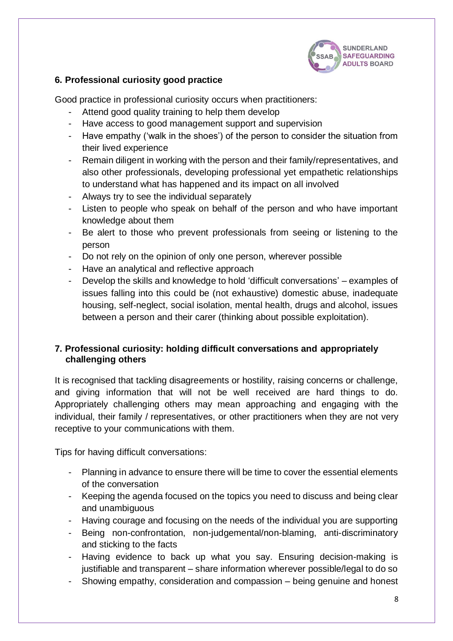

## **6. Professional curiosity good practice**

Good practice in professional curiosity occurs when practitioners:

- Attend good quality training to help them develop
- Have access to good management support and supervision
- Have empathy ('walk in the shoes') of the person to consider the situation from their lived experience
- Remain diligent in working with the person and their family/representatives, and also other professionals, developing professional yet empathetic relationships to understand what has happened and its impact on all involved
- Always try to see the individual separately
- Listen to people who speak on behalf of the person and who have important knowledge about them
- Be alert to those who prevent professionals from seeing or listening to the person
- Do not rely on the opinion of only one person, wherever possible
- Have an analytical and reflective approach
- Develop the skills and knowledge to hold 'difficult conversations' examples of issues falling into this could be (not exhaustive) domestic abuse, inadequate housing, self-neglect, social isolation, mental health, drugs and alcohol, issues between a person and their carer (thinking about possible exploitation).

## **7. Professional curiosity: holding difficult conversations and appropriately challenging others**

It is recognised that tackling disagreements or hostility, raising concerns or challenge, and giving information that will not be well received are hard things to do. Appropriately challenging others may mean approaching and engaging with the individual, their family / representatives, or other practitioners when they are not very receptive to your communications with them.

Tips for having difficult conversations:

- Planning in advance to ensure there will be time to cover the essential elements of the conversation
- Keeping the agenda focused on the topics you need to discuss and being clear and unambiguous
- Having courage and focusing on the needs of the individual you are supporting
- Being non-confrontation, non-judgemental/non-blaming, anti-discriminatory and sticking to the facts
- Having evidence to back up what you say. Ensuring decision-making is justifiable and transparent – share information wherever possible/legal to do so
- Showing empathy, consideration and compassion being genuine and honest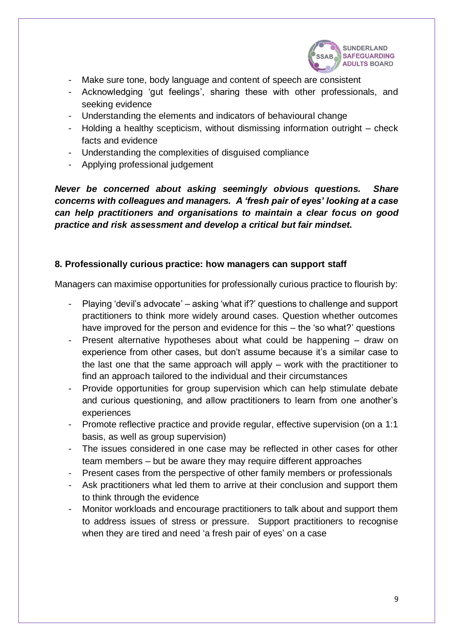

- Make sure tone, body language and content of speech are consistent
- Acknowledging 'gut feelings', sharing these with other professionals, and seeking evidence
- Understanding the elements and indicators of behavioural change
- Holding a healthy scepticism, without dismissing information outright check facts and evidence
- Understanding the complexities of disguised compliance
- Applying professional judgement

*Never be concerned about asking seemingly obvious questions. Share concerns with colleagues and managers. A 'fresh pair of eyes' looking at a case can help practitioners and organisations to maintain a clear focus on good practice and risk assessment and develop a critical but fair mindset.*

## **8. Professionally curious practice: how managers can support staff**

Managers can maximise opportunities for professionally curious practice to flourish by:

- Playing 'devil's advocate' asking 'what if?' questions to challenge and support practitioners to think more widely around cases. Question whether outcomes have improved for the person and evidence for this – the 'so what?' questions
- Present alternative hypotheses about what could be happening  $-$  draw on experience from other cases, but don't assume because it's a similar case to the last one that the same approach will apply – work with the practitioner to find an approach tailored to the individual and their circumstances
- Provide opportunities for group supervision which can help stimulate debate and curious questioning, and allow practitioners to learn from one another's experiences
- Promote reflective practice and provide regular, effective supervision (on a 1:1 basis, as well as group supervision)
- The issues considered in one case may be reflected in other cases for other team members – but be aware they may require different approaches
- Present cases from the perspective of other family members or professionals
- Ask practitioners what led them to arrive at their conclusion and support them to think through the evidence
- Monitor workloads and encourage practitioners to talk about and support them to address issues of stress or pressure. Support practitioners to recognise when they are tired and need 'a fresh pair of eyes' on a case